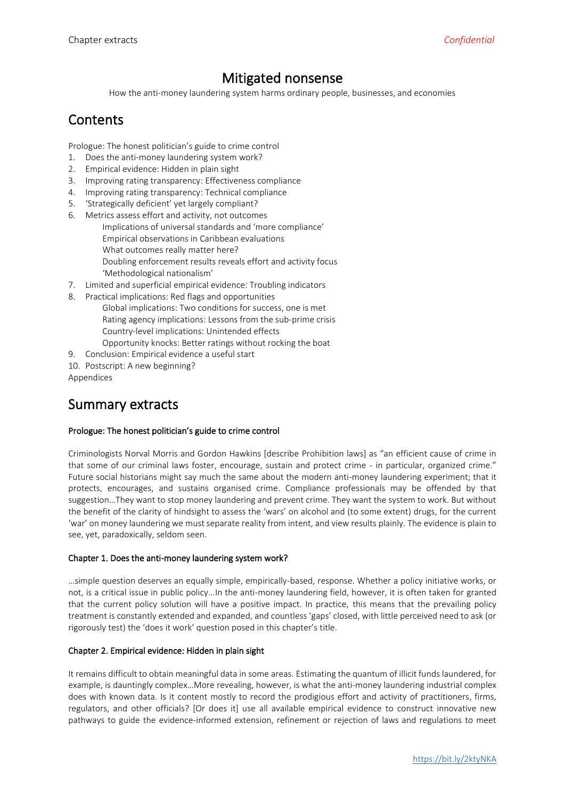# Mitigated nonsense

How the anti-money laundering system harms ordinary people, businesses, and economies

# **Contents**

Prologue: The honest politician's guide to crime control

- 1. Does the anti-money laundering system work?
- 2. Empirical evidence: Hidden in plain sight
- 3. Improving rating transparency: Effectiveness compliance
- 4. Improving rating transparency: Technical compliance
- 5. 'Strategically deficient' yet largely compliant?
- 6. Metrics assess effort and activity, not outcomes Implications of universal standards and 'more compliance' Empirical observations in Caribbean evaluations What outcomes really matter here? Doubling enforcement results reveals effort and activity focus 'Methodological nationalism'
- 7. Limited and superficial empirical evidence: Troubling indicators
- 8. Practical implications: Red flags and opportunities
	- Global implications: Two conditions for success, one is met Rating agency implications: Lessons from the sub-prime crisis Country-level implications: Unintended effects Opportunity knocks: Better ratings without rocking the boat
- 9. Conclusion: Empirical evidence a useful start
- 10. Postscript: A new beginning?

Appendices

# Summary extracts

## Prologue: The honest politician's guide to crime control

Criminologists Norval Morris and Gordon Hawkins [describe Prohibition laws] as "an efficient cause of crime in that some of our criminal laws foster, encourage, sustain and protect crime - in particular, organized crime." Future social historians might say much the same about the modern anti-money laundering experiment; that it protects, encourages, and sustains organised crime. Compliance professionals may be offended by that suggestion…They want to stop money laundering and prevent crime. They want the system to work. But without the benefit of the clarity of hindsight to assess the 'wars' on alcohol and (to some extent) drugs, for the current 'war' on money laundering we must separate reality from intent, and view results plainly. The evidence is plain to see, yet, paradoxically, seldom seen.

## Chapter 1. Does the anti-money laundering system work?

…simple question deserves an equally simple, empirically-based, response. Whether a policy initiative works, or not, is a critical issue in public policy...In the anti-money laundering field, however, it is often taken for granted that the current policy solution will have a positive impact. In practice, this means that the prevailing policy treatment is constantly extended and expanded, and countless 'gaps' closed, with little perceived need to ask (or rigorously test) the 'does it work' question posed in this chapter's title.

## Chapter 2. Empirical evidence: Hidden in plain sight

It remains difficult to obtain meaningful data in some areas. Estimating the quantum of illicit funds laundered, for example, is dauntingly complex…More revealing, however, is what the anti-money laundering industrial complex does with known data. Is it content mostly to record the prodigious effort and activity of practitioners, firms, regulators, and other officials? [Or does it] use all available empirical evidence to construct innovative new pathways to guide the evidence-informed extension, refinement or rejection of laws and regulations to meet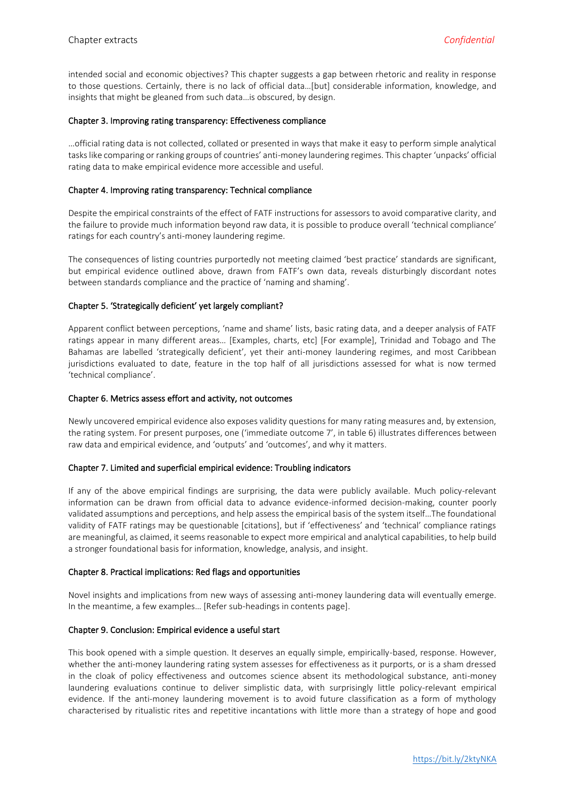intended social and economic objectives? This chapter suggests a gap between rhetoric and reality in response to those questions. Certainly, there is no lack of official data…[but] considerable information, knowledge, and insights that might be gleaned from such data…is obscured, by design.

#### Chapter 3. Improving rating transparency: Effectiveness compliance

…official rating data is not collected, collated or presented in ways that make it easy to perform simple analytical tasks like comparing or ranking groups of countries' anti-money laundering regimes. This chapter 'unpacks' official rating data to make empirical evidence more accessible and useful.

#### Chapter 4. Improving rating transparency: Technical compliance

Despite the empirical constraints of the effect of FATF instructions for assessors to avoid comparative clarity, and the failure to provide much information beyond raw data, it is possible to produce overall 'technical compliance' ratings for each country's anti-money laundering regime.

The consequences of listing countries purportedly not meeting claimed 'best practice' standards are significant, but empirical evidence outlined above, drawn from FATF's own data, reveals disturbingly discordant notes between standards compliance and the practice of 'naming and shaming'.

## Chapter 5. 'Strategically deficient' yet largely compliant?

Apparent conflict between perceptions, 'name and shame' lists, basic rating data, and a deeper analysis of FATF ratings appear in many different areas… [Examples, charts, etc] [For example], Trinidad and Tobago and The Bahamas are labelled 'strategically deficient', yet their anti-money laundering regimes, and most Caribbean jurisdictions evaluated to date, feature in the top half of all jurisdictions assessed for what is now termed 'technical compliance'.

#### Chapter 6. Metrics assess effort and activity, not outcomes

Newly uncovered empirical evidence also exposes validity questions for many rating measures and, by extension, the rating system. For present purposes, one ('immediate outcome 7', in table 6) illustrates differences between raw data and empirical evidence, and 'outputs' and 'outcomes', and why it matters.

## Chapter 7. Limited and superficial empirical evidence: Troubling indicators

If any of the above empirical findings are surprising, the data were publicly available. Much policy-relevant information can be drawn from official data to advance evidence-informed decision-making, counter poorly validated assumptions and perceptions, and help assess the empirical basis of the system itself…The foundational validity of FATF ratings may be questionable [citations], but if 'effectiveness' and 'technical' compliance ratings are meaningful, as claimed, it seems reasonable to expect more empirical and analytical capabilities, to help build a stronger foundational basis for information, knowledge, analysis, and insight.

#### Chapter 8. Practical implications: Red flags and opportunities

Novel insights and implications from new ways of assessing anti-money laundering data will eventually emerge. In the meantime, a few examples… [Refer sub-headings in contents page].

## Chapter 9. Conclusion: Empirical evidence a useful start

This book opened with a simple question. It deserves an equally simple, empirically-based, response. However, whether the anti-money laundering rating system assesses for effectiveness as it purports, or is a sham dressed in the cloak of policy effectiveness and outcomes science absent its methodological substance, anti-money laundering evaluations continue to deliver simplistic data, with surprisingly little policy-relevant empirical evidence. If the anti-money laundering movement is to avoid future classification as a form of mythology characterised by ritualistic rites and repetitive incantations with little more than a strategy of hope and good